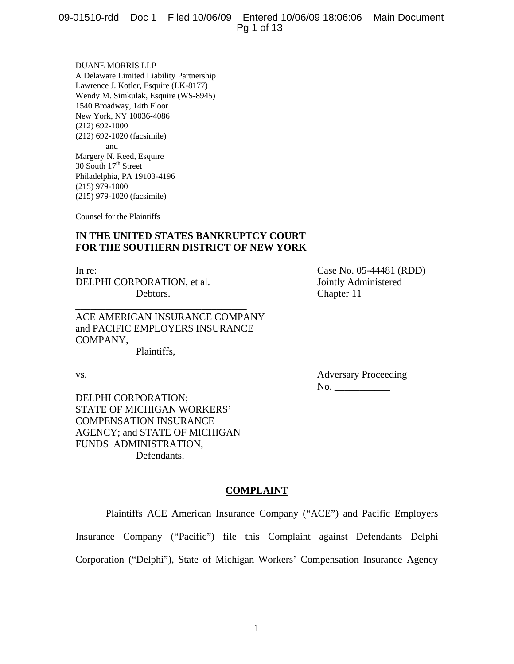DUANE MORRIS LLP A Delaware Limited Liability Partnership Lawrence J. Kotler, Esquire (LK-8177) Wendy M. Simkulak, Esquire (WS-8945) 1540 Broadway, 14th Floor New York, NY 10036-4086 (212) 692-1000 (212) 692-1020 (facsimile) and Margery N. Reed, Esquire  $30$  South  $17<sup>th</sup>$  Street Philadelphia, PA 19103-4196 (215) 979-1000 (215) 979-1020 (facsimile)

Counsel for the Plaintiffs

# **IN THE UNITED STATES BANKRUPTCY COURT FOR THE SOUTHERN DISTRICT OF NEW YORK**

In re: Case No. 05-44481 (RDD) DELPHI CORPORATION, et al. Solution of a Jointly Administered Debtors. Chapter 11

ACE AMERICAN INSURANCE COMPANY and PACIFIC EMPLOYERS INSURANCE COMPANY,

\_\_\_\_\_\_\_\_\_\_\_\_\_\_\_\_\_\_\_\_\_\_\_\_\_\_\_\_\_\_\_\_\_\_

Plaintiffs,

vs. Adversary Proceeding No. \_\_\_\_\_\_\_\_\_\_\_

DELPHI CORPORATION; STATE OF MICHIGAN WORKERS' COMPENSATION INSURANCE AGENCY; and STATE OF MICHIGAN FUNDS ADMINISTRATION, Defendants.

\_\_\_\_\_\_\_\_\_\_\_\_\_\_\_\_\_\_\_\_\_\_\_\_\_\_\_\_\_\_\_\_\_

# **COMPLAINT**

Plaintiffs ACE American Insurance Company ("ACE") and Pacific Employers

Insurance Company ("Pacific") file this Complaint against Defendants Delphi

Corporation ("Delphi"), State of Michigan Workers' Compensation Insurance Agency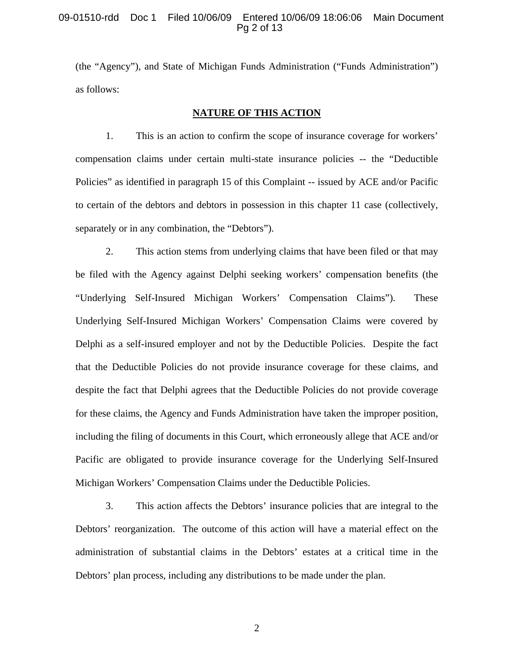### 09-01510-rdd Doc 1 Filed 10/06/09 Entered 10/06/09 18:06:06 Main Document Pg 2 of 13

(the "Agency"), and State of Michigan Funds Administration ("Funds Administration") as follows:

#### **NATURE OF THIS ACTION**

1. This is an action to confirm the scope of insurance coverage for workers' compensation claims under certain multi-state insurance policies -- the "Deductible Policies" as identified in paragraph 15 of this Complaint -- issued by ACE and/or Pacific to certain of the debtors and debtors in possession in this chapter 11 case (collectively, separately or in any combination, the "Debtors").

2. This action stems from underlying claims that have been filed or that may be filed with the Agency against Delphi seeking workers' compensation benefits (the "Underlying Self-Insured Michigan Workers' Compensation Claims"). These Underlying Self-Insured Michigan Workers' Compensation Claims were covered by Delphi as a self-insured employer and not by the Deductible Policies. Despite the fact that the Deductible Policies do not provide insurance coverage for these claims, and despite the fact that Delphi agrees that the Deductible Policies do not provide coverage for these claims, the Agency and Funds Administration have taken the improper position, including the filing of documents in this Court, which erroneously allege that ACE and/or Pacific are obligated to provide insurance coverage for the Underlying Self-Insured Michigan Workers' Compensation Claims under the Deductible Policies.

3. This action affects the Debtors' insurance policies that are integral to the Debtors' reorganization. The outcome of this action will have a material effect on the administration of substantial claims in the Debtors' estates at a critical time in the Debtors' plan process, including any distributions to be made under the plan.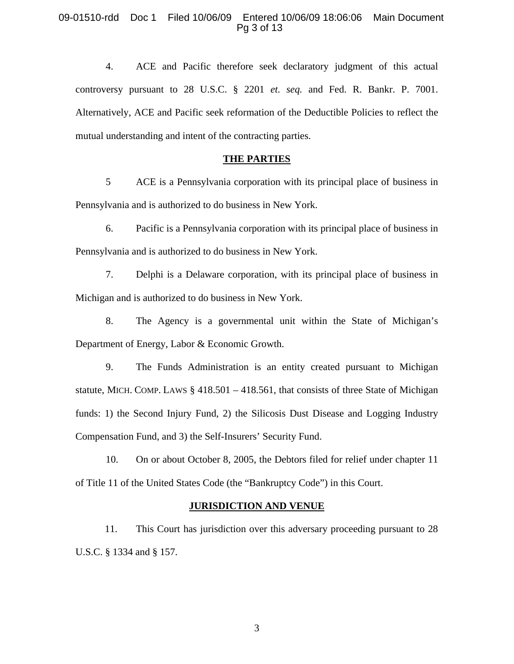### 09-01510-rdd Doc 1 Filed 10/06/09 Entered 10/06/09 18:06:06 Main Document Pg 3 of 13

4. ACE and Pacific therefore seek declaratory judgment of this actual controversy pursuant to 28 U.S.C. § 2201 *et. seq.* and Fed. R. Bankr. P. 7001. Alternatively, ACE and Pacific seek reformation of the Deductible Policies to reflect the mutual understanding and intent of the contracting parties.

#### **THE PARTIES**

5 ACE is a Pennsylvania corporation with its principal place of business in Pennsylvania and is authorized to do business in New York.

6. Pacific is a Pennsylvania corporation with its principal place of business in Pennsylvania and is authorized to do business in New York.

7. Delphi is a Delaware corporation, with its principal place of business in Michigan and is authorized to do business in New York.

8. The Agency is a governmental unit within the State of Michigan's Department of Energy, Labor & Economic Growth.

9. The Funds Administration is an entity created pursuant to Michigan statute, MICH. COMP. LAWS  $\S$  418.501 – 418.561, that consists of three State of Michigan funds: 1) the Second Injury Fund, 2) the Silicosis Dust Disease and Logging Industry Compensation Fund, and 3) the Self-Insurers' Security Fund.

10. On or about October 8, 2005, the Debtors filed for relief under chapter 11 of Title 11 of the United States Code (the "Bankruptcy Code") in this Court.

#### **JURISDICTION AND VENUE**

11. This Court has jurisdiction over this adversary proceeding pursuant to 28 U.S.C. § 1334 and § 157.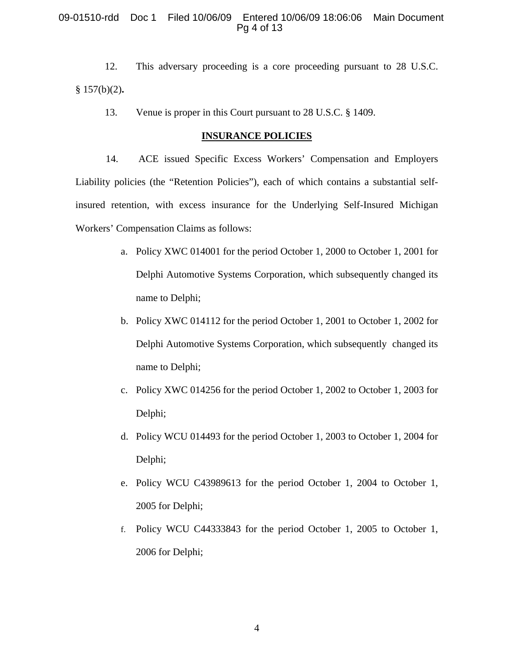## 09-01510-rdd Doc 1 Filed 10/06/09 Entered 10/06/09 18:06:06 Main Document Pg 4 of 13

12. This adversary proceeding is a core proceeding pursuant to 28 U.S.C. § 157(b)(2)**.** 

13. Venue is proper in this Court pursuant to 28 U.S.C. § 1409.

#### **INSURANCE POLICIES**

14. ACE issued Specific Excess Workers' Compensation and Employers Liability policies (the "Retention Policies"), each of which contains a substantial selfinsured retention, with excess insurance for the Underlying Self-Insured Michigan Workers' Compensation Claims as follows:

- a. Policy XWC 014001 for the period October 1, 2000 to October 1, 2001 for Delphi Automotive Systems Corporation, which subsequently changed its name to Delphi;
- b. Policy XWC 014112 for the period October 1, 2001 to October 1, 2002 for Delphi Automotive Systems Corporation, which subsequently changed its name to Delphi;
- c. Policy XWC 014256 for the period October 1, 2002 to October 1, 2003 for Delphi;
- d. Policy WCU 014493 for the period October 1, 2003 to October 1, 2004 for Delphi;
- e. Policy WCU C43989613 for the period October 1, 2004 to October 1, 2005 for Delphi;
- f. Policy WCU C44333843 for the period October 1, 2005 to October 1, 2006 for Delphi;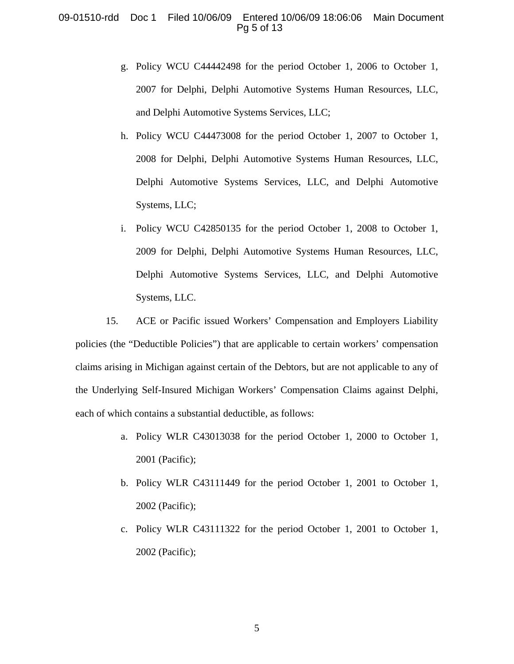### 09-01510-rdd Doc 1 Filed 10/06/09 Entered 10/06/09 18:06:06 Main Document Pg 5 of 13

- g. Policy WCU C44442498 for the period October 1, 2006 to October 1, 2007 for Delphi, Delphi Automotive Systems Human Resources, LLC, and Delphi Automotive Systems Services, LLC;
- h. Policy WCU C44473008 for the period October 1, 2007 to October 1, 2008 for Delphi, Delphi Automotive Systems Human Resources, LLC, Delphi Automotive Systems Services, LLC, and Delphi Automotive Systems, LLC;
- i. Policy WCU C42850135 for the period October 1, 2008 to October 1, 2009 for Delphi, Delphi Automotive Systems Human Resources, LLC, Delphi Automotive Systems Services, LLC, and Delphi Automotive Systems, LLC.

15. ACE or Pacific issued Workers' Compensation and Employers Liability policies (the "Deductible Policies") that are applicable to certain workers' compensation claims arising in Michigan against certain of the Debtors, but are not applicable to any of the Underlying Self-Insured Michigan Workers' Compensation Claims against Delphi, each of which contains a substantial deductible, as follows:

- a. Policy WLR C43013038 for the period October 1, 2000 to October 1, 2001 (Pacific);
- b. Policy WLR C43111449 for the period October 1, 2001 to October 1, 2002 (Pacific);
- c. Policy WLR C43111322 for the period October 1, 2001 to October 1, 2002 (Pacific);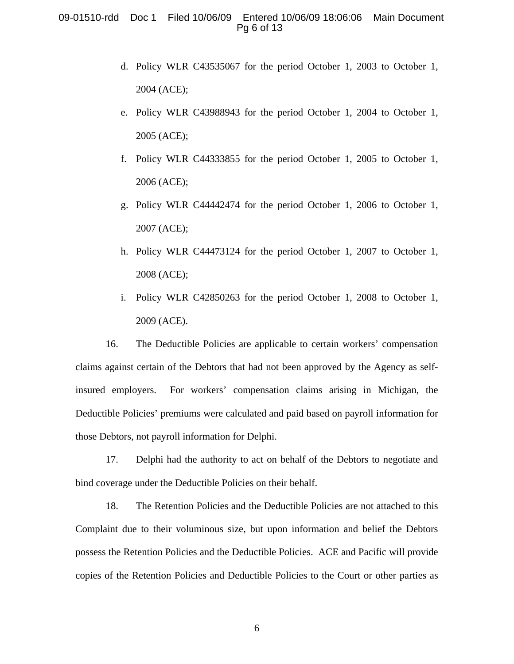### 09-01510-rdd Doc 1 Filed 10/06/09 Entered 10/06/09 18:06:06 Main Document Pg 6 of 13

- d. Policy WLR C43535067 for the period October 1, 2003 to October 1, 2004 (ACE);
- e. Policy WLR C43988943 for the period October 1, 2004 to October 1, 2005 (ACE);
- f. Policy WLR C44333855 for the period October 1, 2005 to October 1, 2006 (ACE);
- g. Policy WLR C44442474 for the period October 1, 2006 to October 1, 2007 (ACE);
- h. Policy WLR C44473124 for the period October 1, 2007 to October 1, 2008 (ACE);
- i. Policy WLR C42850263 for the period October 1, 2008 to October 1, 2009 (ACE).

 16. The Deductible Policies are applicable to certain workers' compensation claims against certain of the Debtors that had not been approved by the Agency as selfinsured employers. For workers' compensation claims arising in Michigan, the Deductible Policies' premiums were calculated and paid based on payroll information for those Debtors, not payroll information for Delphi.

17. Delphi had the authority to act on behalf of the Debtors to negotiate and bind coverage under the Deductible Policies on their behalf.

18. The Retention Policies and the Deductible Policies are not attached to this Complaint due to their voluminous size, but upon information and belief the Debtors possess the Retention Policies and the Deductible Policies. ACE and Pacific will provide copies of the Retention Policies and Deductible Policies to the Court or other parties as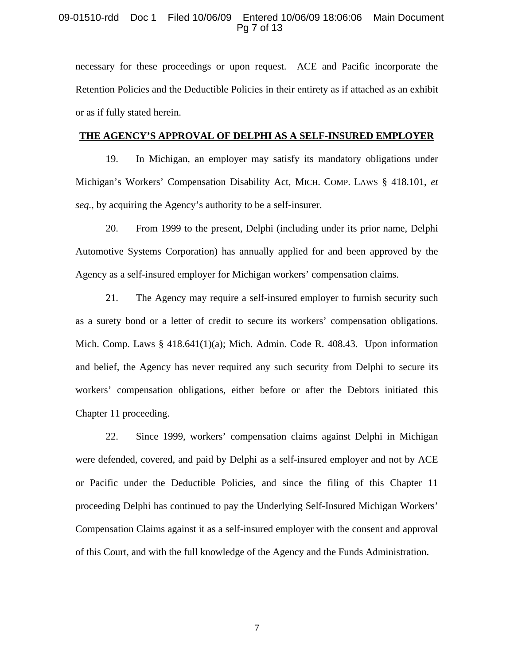#### 09-01510-rdd Doc 1 Filed 10/06/09 Entered 10/06/09 18:06:06 Main Document Pg 7 of 13

necessary for these proceedings or upon request. ACE and Pacific incorporate the Retention Policies and the Deductible Policies in their entirety as if attached as an exhibit or as if fully stated herein.

#### **THE AGENCY'S APPROVAL OF DELPHI AS A SELF-INSURED EMPLOYER**

 19. In Michigan, an employer may satisfy its mandatory obligations under Michigan's Workers' Compensation Disability Act, MICH. COMP. LAWS § 418.101, *et seq.*, by acquiring the Agency's authority to be a self-insurer.

20. From 1999 to the present, Delphi (including under its prior name, Delphi Automotive Systems Corporation) has annually applied for and been approved by the Agency as a self-insured employer for Michigan workers' compensation claims.

21. The Agency may require a self-insured employer to furnish security such as a surety bond or a letter of credit to secure its workers' compensation obligations. Mich. Comp. Laws  $\S$  418.641(1)(a); Mich. Admin. Code R. 408.43. Upon information and belief, the Agency has never required any such security from Delphi to secure its workers' compensation obligations, either before or after the Debtors initiated this Chapter 11 proceeding.

22. Since 1999, workers' compensation claims against Delphi in Michigan were defended, covered, and paid by Delphi as a self-insured employer and not by ACE or Pacific under the Deductible Policies, and since the filing of this Chapter 11 proceeding Delphi has continued to pay the Underlying Self-Insured Michigan Workers' Compensation Claims against it as a self-insured employer with the consent and approval of this Court, and with the full knowledge of the Agency and the Funds Administration.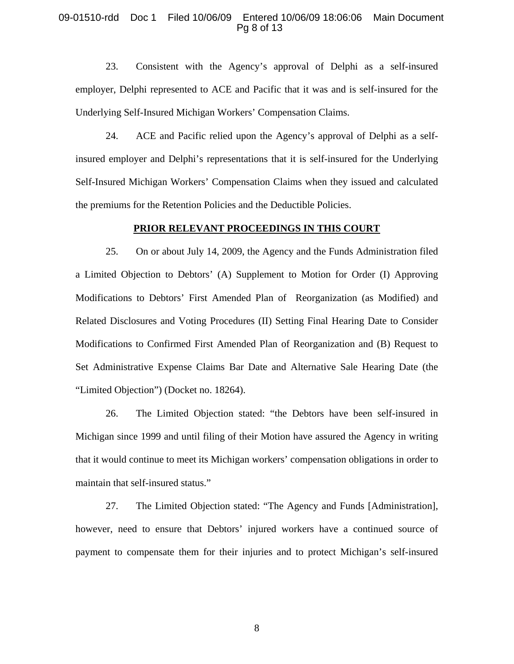#### 09-01510-rdd Doc 1 Filed 10/06/09 Entered 10/06/09 18:06:06 Main Document Pg 8 of 13

23. Consistent with the Agency's approval of Delphi as a self-insured employer, Delphi represented to ACE and Pacific that it was and is self-insured for the Underlying Self-Insured Michigan Workers' Compensation Claims.

24. ACE and Pacific relied upon the Agency's approval of Delphi as a selfinsured employer and Delphi's representations that it is self-insured for the Underlying Self-Insured Michigan Workers' Compensation Claims when they issued and calculated the premiums for the Retention Policies and the Deductible Policies.

#### **PRIOR RELEVANT PROCEEDINGS IN THIS COURT**

25. On or about July 14, 2009, the Agency and the Funds Administration filed a Limited Objection to Debtors' (A) Supplement to Motion for Order (I) Approving Modifications to Debtors' First Amended Plan of Reorganization (as Modified) and Related Disclosures and Voting Procedures (II) Setting Final Hearing Date to Consider Modifications to Confirmed First Amended Plan of Reorganization and (B) Request to Set Administrative Expense Claims Bar Date and Alternative Sale Hearing Date (the "Limited Objection") (Docket no. 18264).

26. The Limited Objection stated: "the Debtors have been self-insured in Michigan since 1999 and until filing of their Motion have assured the Agency in writing that it would continue to meet its Michigan workers' compensation obligations in order to maintain that self-insured status."

27. The Limited Objection stated: "The Agency and Funds [Administration], however, need to ensure that Debtors' injured workers have a continued source of payment to compensate them for their injuries and to protect Michigan's self-insured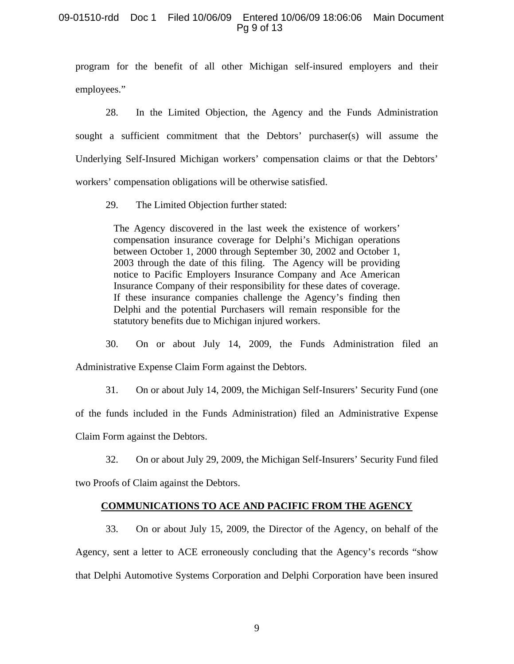### 09-01510-rdd Doc 1 Filed 10/06/09 Entered 10/06/09 18:06:06 Main Document Pg 9 of 13

program for the benefit of all other Michigan self-insured employers and their employees."

28. In the Limited Objection, the Agency and the Funds Administration sought a sufficient commitment that the Debtors' purchaser(s) will assume the Underlying Self-Insured Michigan workers' compensation claims or that the Debtors' workers' compensation obligations will be otherwise satisfied.

29. The Limited Objection further stated:

The Agency discovered in the last week the existence of workers' compensation insurance coverage for Delphi's Michigan operations between October 1, 2000 through September 30, 2002 and October 1, 2003 through the date of this filing. The Agency will be providing notice to Pacific Employers Insurance Company and Ace American Insurance Company of their responsibility for these dates of coverage. If these insurance companies challenge the Agency's finding then Delphi and the potential Purchasers will remain responsible for the statutory benefits due to Michigan injured workers.

 30. On or about July 14, 2009, the Funds Administration filed an Administrative Expense Claim Form against the Debtors.

 31. On or about July 14, 2009, the Michigan Self-Insurers' Security Fund (one of the funds included in the Funds Administration) filed an Administrative Expense Claim Form against the Debtors.

 32. On or about July 29, 2009, the Michigan Self-Insurers' Security Fund filed two Proofs of Claim against the Debtors.

#### **COMMUNICATIONS TO ACE AND PACIFIC FROM THE AGENCY**

 33. On or about July 15, 2009, the Director of the Agency, on behalf of the Agency, sent a letter to ACE erroneously concluding that the Agency's records "show that Delphi Automotive Systems Corporation and Delphi Corporation have been insured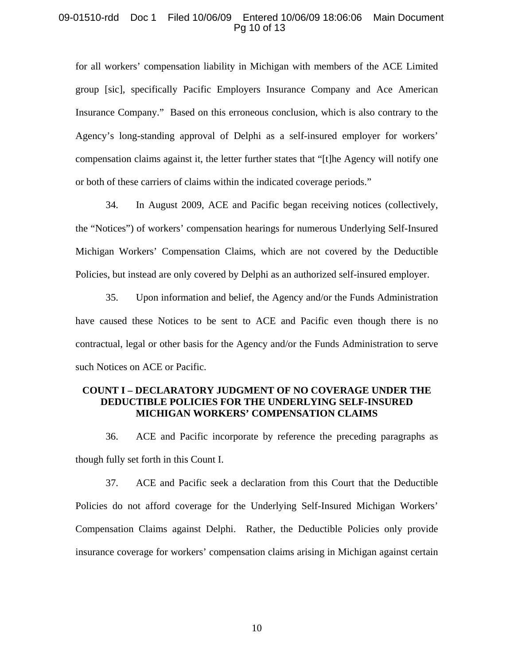### 09-01510-rdd Doc 1 Filed 10/06/09 Entered 10/06/09 18:06:06 Main Document Pg 10 of 13

for all workers' compensation liability in Michigan with members of the ACE Limited group [sic], specifically Pacific Employers Insurance Company and Ace American Insurance Company." Based on this erroneous conclusion, which is also contrary to the Agency's long-standing approval of Delphi as a self-insured employer for workers' compensation claims against it, the letter further states that "[t]he Agency will notify one or both of these carriers of claims within the indicated coverage periods."

34. In August 2009, ACE and Pacific began receiving notices (collectively, the "Notices") of workers' compensation hearings for numerous Underlying Self-Insured Michigan Workers' Compensation Claims, which are not covered by the Deductible Policies, but instead are only covered by Delphi as an authorized self-insured employer.

35. Upon information and belief, the Agency and/or the Funds Administration have caused these Notices to be sent to ACE and Pacific even though there is no contractual, legal or other basis for the Agency and/or the Funds Administration to serve such Notices on ACE or Pacific.

## **COUNT I – DECLARATORY JUDGMENT OF NO COVERAGE UNDER THE DEDUCTIBLE POLICIES FOR THE UNDERLYING SELF-INSURED MICHIGAN WORKERS' COMPENSATION CLAIMS**

 36. ACE and Pacific incorporate by reference the preceding paragraphs as though fully set forth in this Count I.

37. ACE and Pacific seek a declaration from this Court that the Deductible Policies do not afford coverage for the Underlying Self-Insured Michigan Workers' Compensation Claims against Delphi. Rather, the Deductible Policies only provide insurance coverage for workers' compensation claims arising in Michigan against certain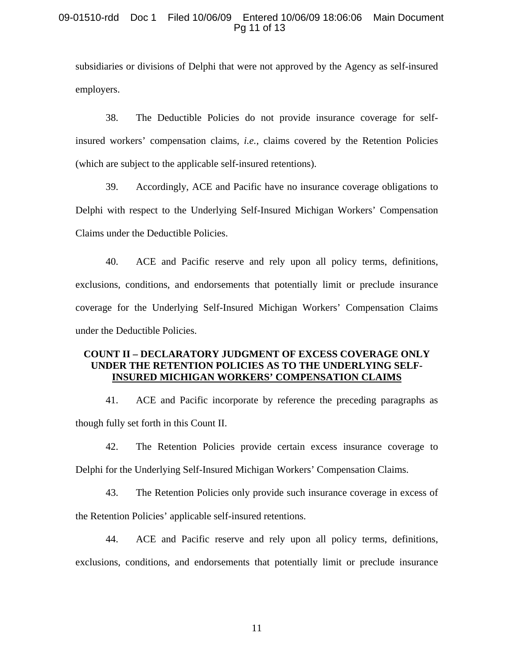### 09-01510-rdd Doc 1 Filed 10/06/09 Entered 10/06/09 18:06:06 Main Document Pg 11 of 13

subsidiaries or divisions of Delphi that were not approved by the Agency as self-insured employers.

38. The Deductible Policies do not provide insurance coverage for selfinsured workers' compensation claims, *i.e.*, claims covered by the Retention Policies (which are subject to the applicable self-insured retentions).

39. Accordingly, ACE and Pacific have no insurance coverage obligations to Delphi with respect to the Underlying Self-Insured Michigan Workers' Compensation Claims under the Deductible Policies.

40. ACE and Pacific reserve and rely upon all policy terms, definitions, exclusions, conditions, and endorsements that potentially limit or preclude insurance coverage for the Underlying Self-Insured Michigan Workers' Compensation Claims under the Deductible Policies.

# **COUNT II – DECLARATORY JUDGMENT OF EXCESS COVERAGE ONLY UNDER THE RETENTION POLICIES AS TO THE UNDERLYING SELF-INSURED MICHIGAN WORKERS' COMPENSATION CLAIMS**

41. ACE and Pacific incorporate by reference the preceding paragraphs as though fully set forth in this Count II.

 42. The Retention Policies provide certain excess insurance coverage to Delphi for the Underlying Self-Insured Michigan Workers' Compensation Claims.

 43. The Retention Policies only provide such insurance coverage in excess of the Retention Policies' applicable self-insured retentions.

44. ACE and Pacific reserve and rely upon all policy terms, definitions, exclusions, conditions, and endorsements that potentially limit or preclude insurance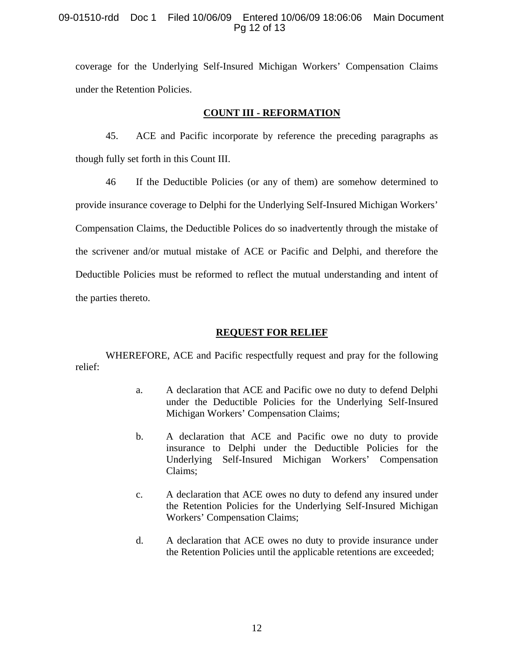# 09-01510-rdd Doc 1 Filed 10/06/09 Entered 10/06/09 18:06:06 Main Document Pg 12 of 13

coverage for the Underlying Self-Insured Michigan Workers' Compensation Claims under the Retention Policies.

### **COUNT III - REFORMATION**

45. ACE and Pacific incorporate by reference the preceding paragraphs as though fully set forth in this Count III.

46 If the Deductible Policies (or any of them) are somehow determined to provide insurance coverage to Delphi for the Underlying Self-Insured Michigan Workers' Compensation Claims, the Deductible Polices do so inadvertently through the mistake of the scrivener and/or mutual mistake of ACE or Pacific and Delphi, and therefore the Deductible Policies must be reformed to reflect the mutual understanding and intent of the parties thereto.

# **REQUEST FOR RELIEF**

WHEREFORE, ACE and Pacific respectfully request and pray for the following relief:

- a. A declaration that ACE and Pacific owe no duty to defend Delphi under the Deductible Policies for the Underlying Self-Insured Michigan Workers' Compensation Claims;
- b. A declaration that ACE and Pacific owe no duty to provide insurance to Delphi under the Deductible Policies for the Underlying Self-Insured Michigan Workers' Compensation Claims;
- c. A declaration that ACE owes no duty to defend any insured under the Retention Policies for the Underlying Self-Insured Michigan Workers' Compensation Claims;
- d. A declaration that ACE owes no duty to provide insurance under the Retention Policies until the applicable retentions are exceeded;